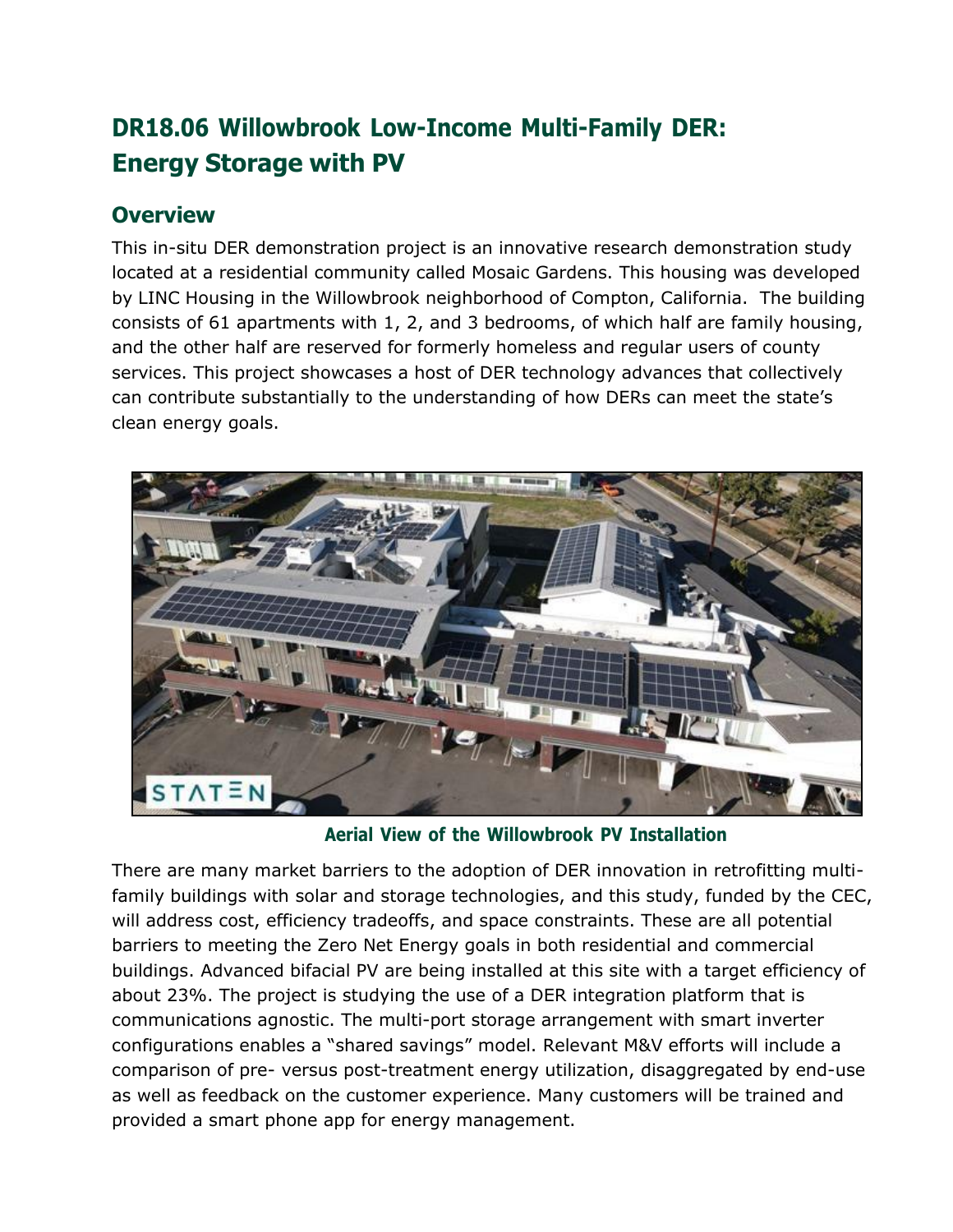# **DR18.06 Willowbrook Low-Income Multi-Family DER: Energy Storage with PV**

#### **Overview**

This in-situ DER demonstration project is an innovative research demonstration study located at a residential community called Mosaic Gardens. This housing was developed by LINC Housing in the Willowbrook neighborhood of Compton, California. The building consists of 61 apartments with 1, 2, and 3 bedrooms, of which half are family housing, and the other half are reserved for formerly homeless and regular users of county services. This project showcases a host of DER technology advances that collectively can contribute substantially to the understanding of how DERs can meet the state's clean energy goals.



**Aerial View of the Willowbrook PV Installation**

There are many market barriers to the adoption of DER innovation in retrofitting multifamily buildings with solar and storage technologies, and this study, funded by the CEC, will address cost, efficiency tradeoffs, and space constraints. These are all potential barriers to meeting the Zero Net Energy goals in both residential and commercial buildings. Advanced bifacial PV are being installed at this site with a target efficiency of about 23%. The project is studying the use of a DER integration platform that is communications agnostic. The multi-port storage arrangement with smart inverter configurations enables a "shared savings" model. Relevant M&V efforts will include a comparison of pre- versus post-treatment energy utilization, disaggregated by end-use as well as feedback on the customer experience. Many customers will be trained and provided a smart phone app for energy management.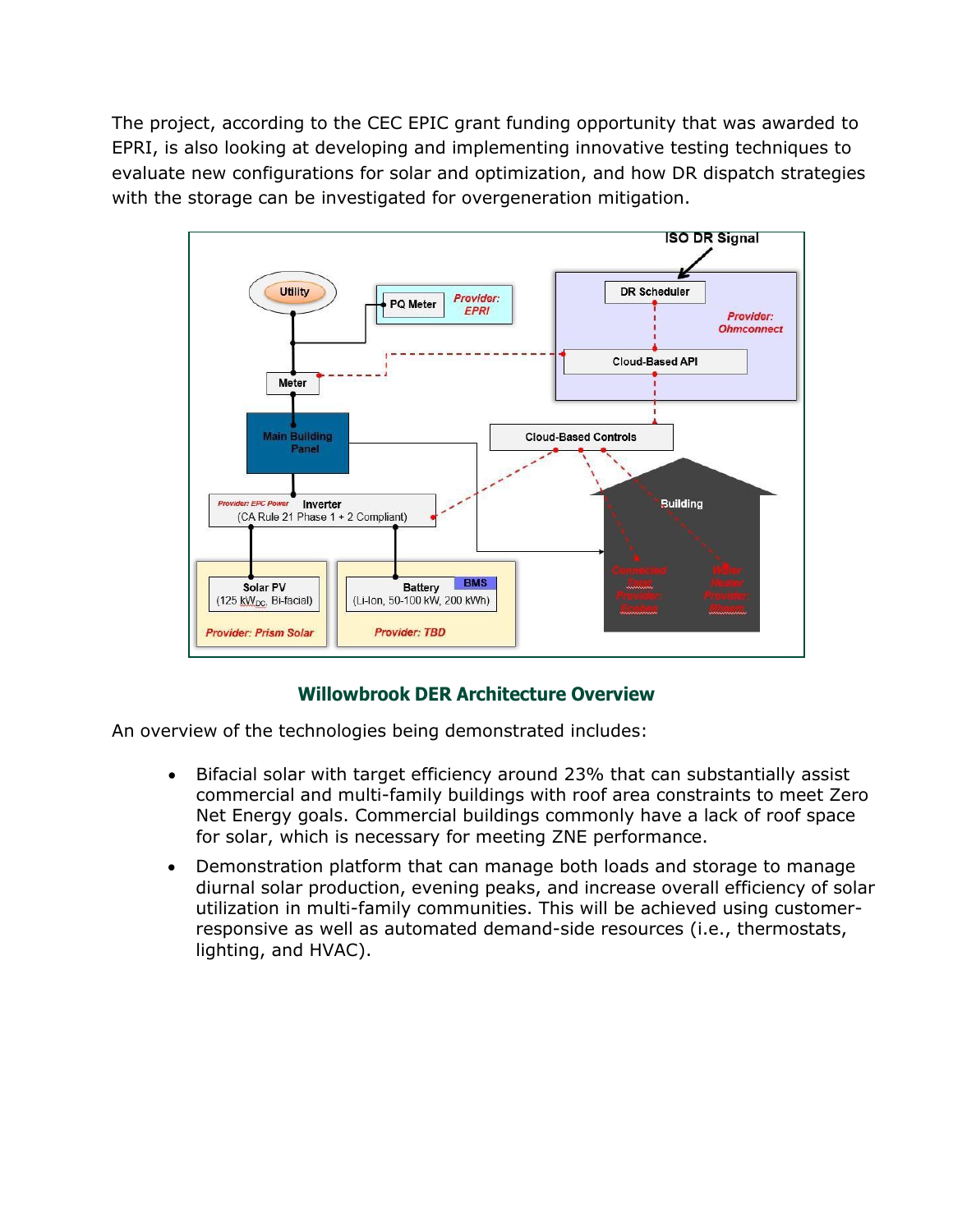The project, according to the CEC EPIC grant funding opportunity that was awarded to EPRI, is also looking at developing and implementing innovative testing techniques to evaluate new configurations for solar and optimization, and how DR dispatch strategies with the storage can be investigated for overgeneration mitigation.



#### **Willowbrook DER Architecture Overview**

An overview of the technologies being demonstrated includes:

- Bifacial solar with target efficiency around 23% that can substantially assist commercial and multi-family buildings with roof area constraints to meet Zero Net Energy goals. Commercial buildings commonly have a lack of roof space for solar, which is necessary for meeting ZNE performance.
- Demonstration platform that can manage both loads and storage to manage diurnal solar production, evening peaks, and increase overall efficiency of solar utilization in multi-family communities. This will be achieved using customerresponsive as well as automated demand-side resources (i.e., thermostats, lighting, and HVAC).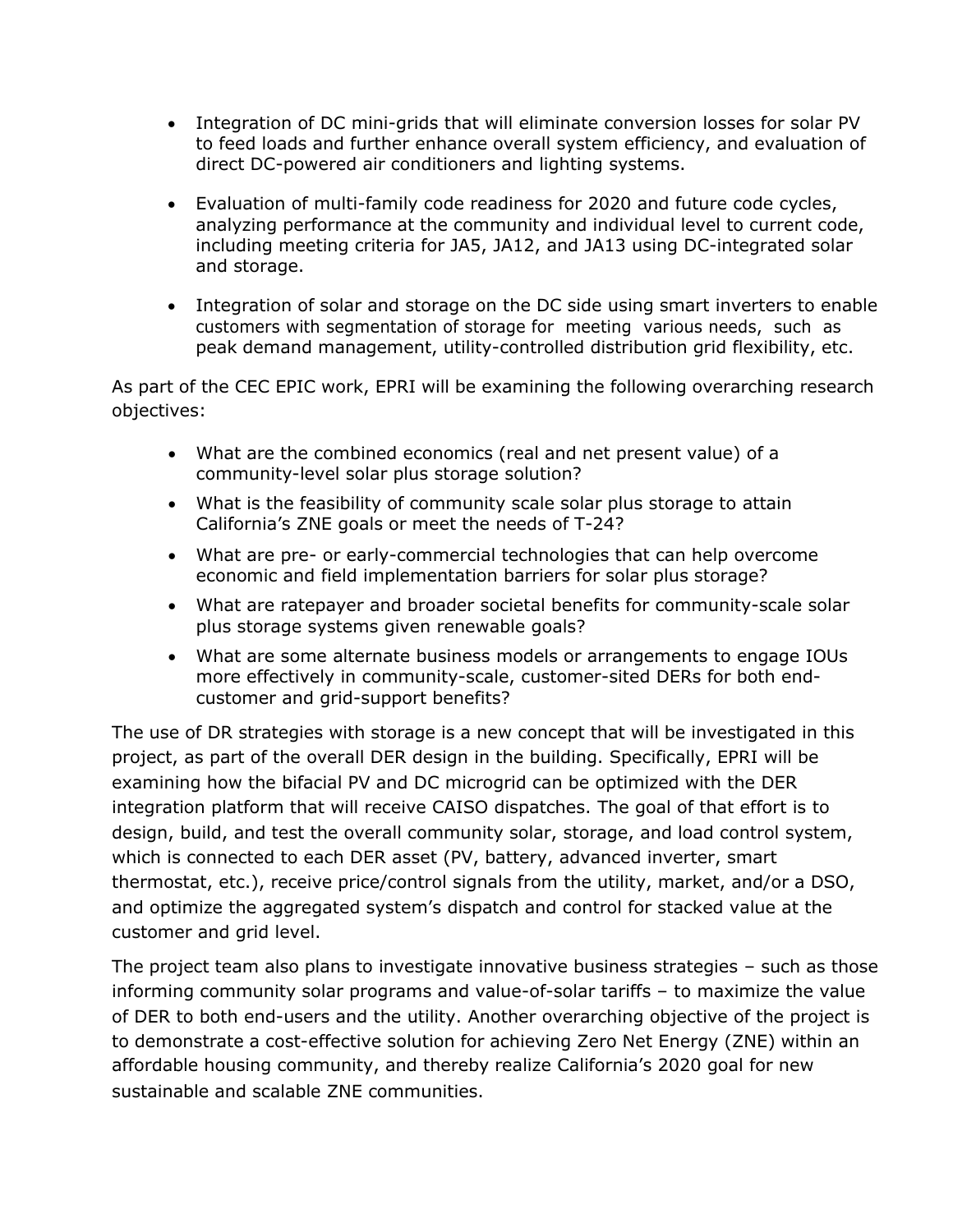- Integration of DC mini-grids that will eliminate conversion losses for solar PV to feed loads and further enhance overall system efficiency, and evaluation of direct DC-powered air conditioners and lighting systems.
- Evaluation of multi-family code readiness for 2020 and future code cycles, analyzing performance at the community and individual level to current code, including meeting criteria for JA5, JA12, and JA13 using DC-integrated solar and storage.
- Integration of solar and storage on the DC side using smart inverters to enable customers with segmentation of storage for meeting various needs, such as peak demand management, utility-controlled distribution grid flexibility, etc.

As part of the CEC EPIC work, EPRI will be examining the following overarching research objectives:

- What are the combined economics (real and net present value) of a community-level solar plus storage solution?
- What is the feasibility of community scale solar plus storage to attain California's ZNE goals or meet the needs of T-24?
- What are pre- or early-commercial technologies that can help overcome economic and field implementation barriers for solar plus storage?
- What are ratepayer and broader societal benefits for community-scale solar plus storage systems given renewable goals?
- What are some alternate business models or arrangements to engage IOUs more effectively in community-scale, customer-sited DERs for both endcustomer and grid-support benefits?

The use of DR strategies with storage is a new concept that will be investigated in this project, as part of the overall DER design in the building. Specifically, EPRI will be examining how the bifacial PV and DC microgrid can be optimized with the DER integration platform that will receive CAISO dispatches. The goal of that effort is to design, build, and test the overall community solar, storage, and load control system, which is connected to each DER asset (PV, battery, advanced inverter, smart thermostat, etc.), receive price/control signals from the utility, market, and/or a DSO, and optimize the aggregated system's dispatch and control for stacked value at the customer and grid level.

The project team also plans to investigate innovative business strategies – such as those informing community solar programs and value-of-solar tariffs – to maximize the value of DER to both end-users and the utility. Another overarching objective of the project is to demonstrate a cost-effective solution for achieving Zero Net Energy (ZNE) within an affordable housing community, and thereby realize California's 2020 goal for new sustainable and scalable ZNE communities.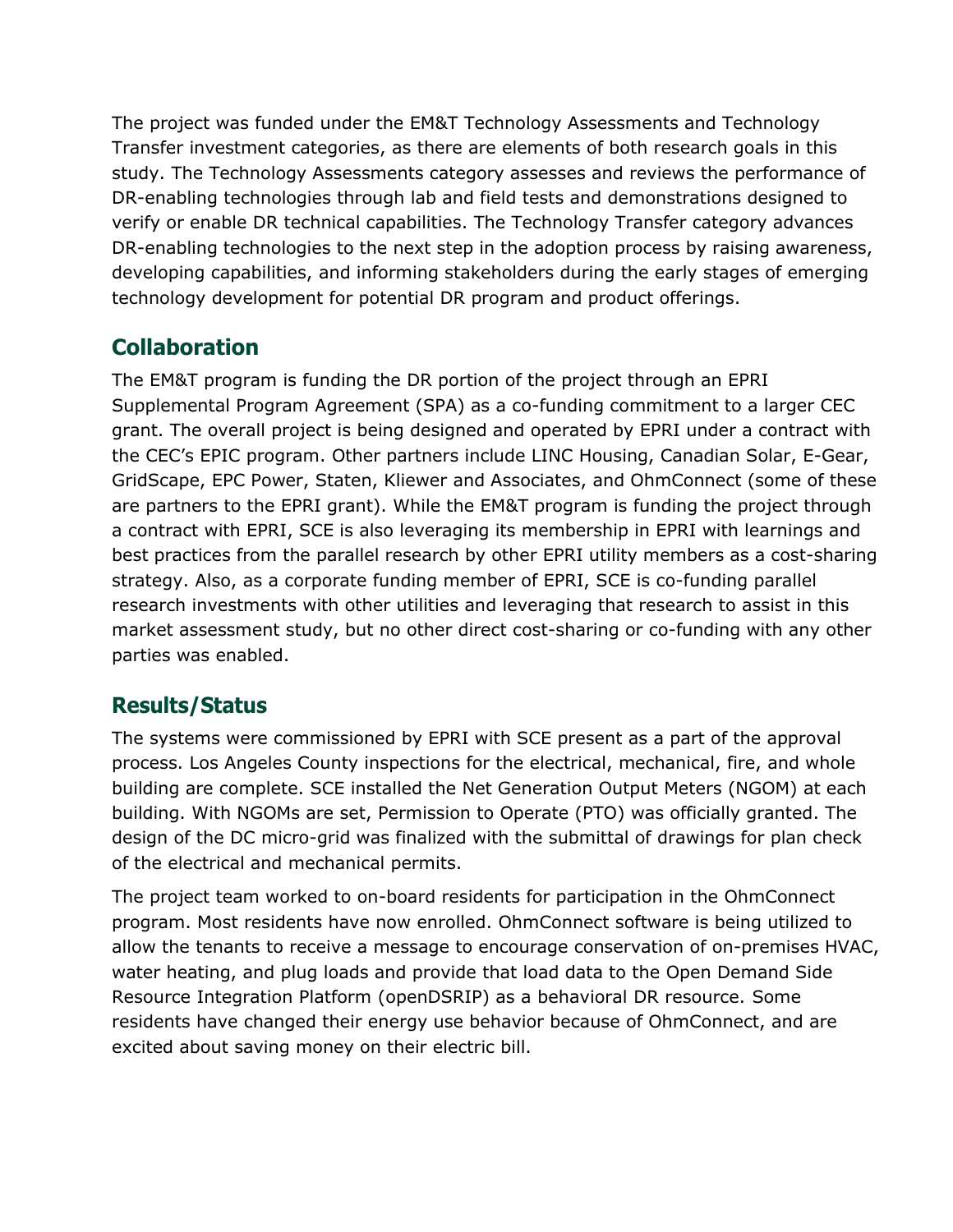The project was funded under the EM&T Technology Assessments and Technology Transfer investment categories, as there are elements of both research goals in this study. The Technology Assessments category assesses and reviews the performance of DR-enabling technologies through lab and field tests and demonstrations designed to verify or enable DR technical capabilities. The Technology Transfer category advances DR-enabling technologies to the next step in the adoption process by raising awareness, developing capabilities, and informing stakeholders during the early stages of emerging technology development for potential DR program and product offerings.

## **Collaboration**

The EM&T program is funding the DR portion of the project through an EPRI Supplemental Program Agreement (SPA) as a co-funding commitment to a larger CEC grant. The overall project is being designed and operated by EPRI under a contract with the CEC's EPIC program. Other partners include LINC Housing, Canadian Solar, E-Gear, GridScape, EPC Power, Staten, Kliewer and Associates, and OhmConnect (some of these are partners to the EPRI grant). While the EM&T program is funding the project through a contract with EPRI, SCE is also leveraging its membership in EPRI with learnings and best practices from the parallel research by other EPRI utility members as a cost-sharing strategy. Also, as a corporate funding member of EPRI, SCE is co-funding parallel research investments with other utilities and leveraging that research to assist in this market assessment study, but no other direct cost-sharing or co-funding with any other parties was enabled.

### **Results/Status**

The systems were commissioned by EPRI with SCE present as a part of the approval process. Los Angeles County inspections for the electrical, mechanical, fire, and whole building are complete. SCE installed the Net Generation Output Meters (NGOM) at each building. With NGOMs are set, Permission to Operate (PTO) was officially granted. The design of the DC micro-grid was finalized with the submittal of drawings for plan check of the electrical and mechanical permits.

The project team worked to on-board residents for participation in the OhmConnect program. Most residents have now enrolled. OhmConnect software is being utilized to allow the tenants to receive a message to encourage conservation of on-premises HVAC, water heating, and plug loads and provide that load data to the Open Demand Side Resource Integration Platform (openDSRIP) as a behavioral DR resource. Some residents have changed their energy use behavior because of OhmConnect, and are excited about saving money on their electric bill.